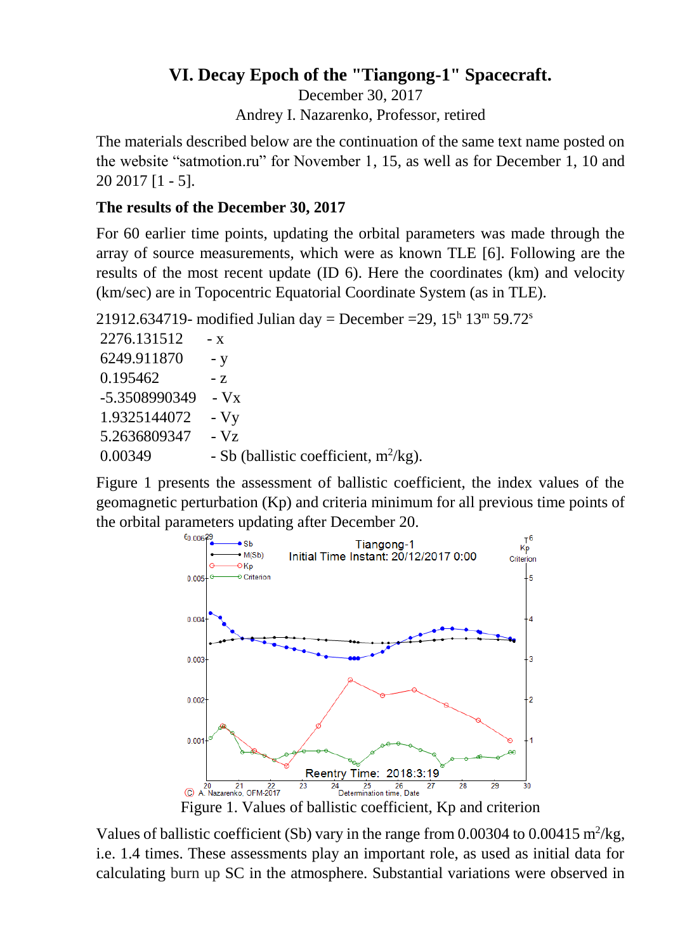## **VI. Decay Epoch of the "Tiangong-1" Spacecraft.**

December 30, 2017 Andrey I. Nazarenko, Professor, retired

The materials described below are the continuation of the same text name posted on the website "satmotion.ru" for November 1, 15, as well as for December 1, 10 and 20 2017 [1 - 5].

#### **The results of the December 30, 2017**

For 60 earlier time points, updating the orbital parameters was made through the array of source measurements, which were as known TLE [6]. Following are the results of the most recent update (ID 6). Here the coordinates (km) and velocity (km/sec) are in Topocentric Equatorial Coordinate System (as in TLE).

21912.634719- modified Julian day = December = 29,  $15^{\text{h}}$  13<sup>m</sup> 59.72<sup>s</sup>

| 2276.131512   | - X                                      |
|---------------|------------------------------------------|
| 6249.911870   | $- V$                                    |
| 0.195462      | $-7.$                                    |
| -5.3508990349 | $-Vx$                                    |
| 1.9325144072  | $-Vy$                                    |
| 5.2636809347  | $-Vz$                                    |
| 0.00349       | - Sb (ballistic coefficient, $m^2/kg$ ). |

Figure 1 presents the assessment of ballistic coefficient, the index values of the geomagnetic perturbation (Kp) and criteria minimum for all previous time points of the orbital parameters updating after December 20.



Figure 1. Values of ballistic coefficient, Kp and criterion

Values of ballistic coefficient (Sb) vary in the range from 0.00304 to 0.00415  $m^2/kg$ , i.e. 1.4 times. These assessments play an important role, as used as initial data for calculating burn up SC in the atmosphere. Substantial variations were observed in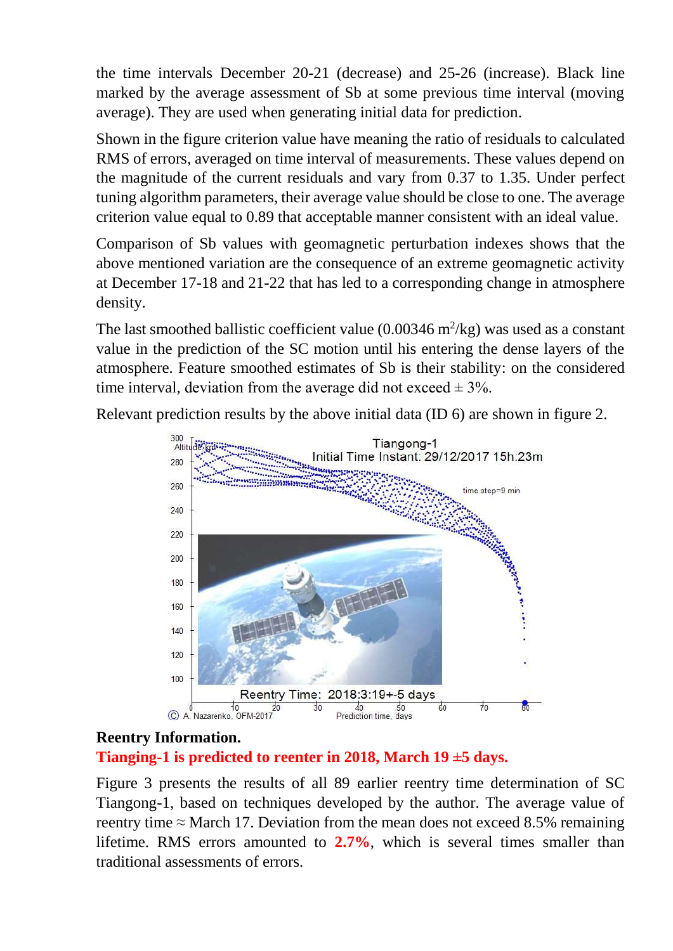the time intervals December 20-21 (decrease) and 25-26 (increase). Black line marked by the average assessment of Sb at some previous time interval (moving average). They are used when generating initial data for prediction.

Shown in the figure criterion value have meaning the ratio of residuals to calculated RMS of errors, averaged on time interval of measurements. These values depend on the magnitude of the current residuals and vary from 0.37 to 1.35. Under perfect tuning algorithm parameters, their average value should be close to one. The average criterion value equal to 0.89 that acceptable manner consistent with an ideal value.

Comparison of Sb values with geomagnetic perturbation indexes shows that the above mentioned variation are the consequence of an extreme geomagnetic activity at December 17-18 and 21-22 that has led to a corresponding change in atmosphere density.

The last smoothed ballistic coefficient value  $(0.00346 \text{ m}^2/\text{kg})$  was used as a constant value in the prediction of the SC motion until his entering the dense layers of the atmosphere. Feature smoothed estimates of Sb is their stability: on the considered time interval, deviation from the average did not exceed  $\pm$  3%.

Relevant prediction results by the above initial data (ID 6) are shown in figure 2.



### **Reentry Information.**

**Tianging-1 is predicted to reenter in 2018, March 19 ±5 days.**

Figure 3 presents the results of all 89 earlier reentry time determination of SC Tiangong-1, based on techniques developed by the author. The average value of reentry time  $\approx$  March 17. Deviation from the mean does not exceed 8.5% remaining lifetime. RMS errors amounted to **2.7%**, which is several times smaller than traditional assessments of errors.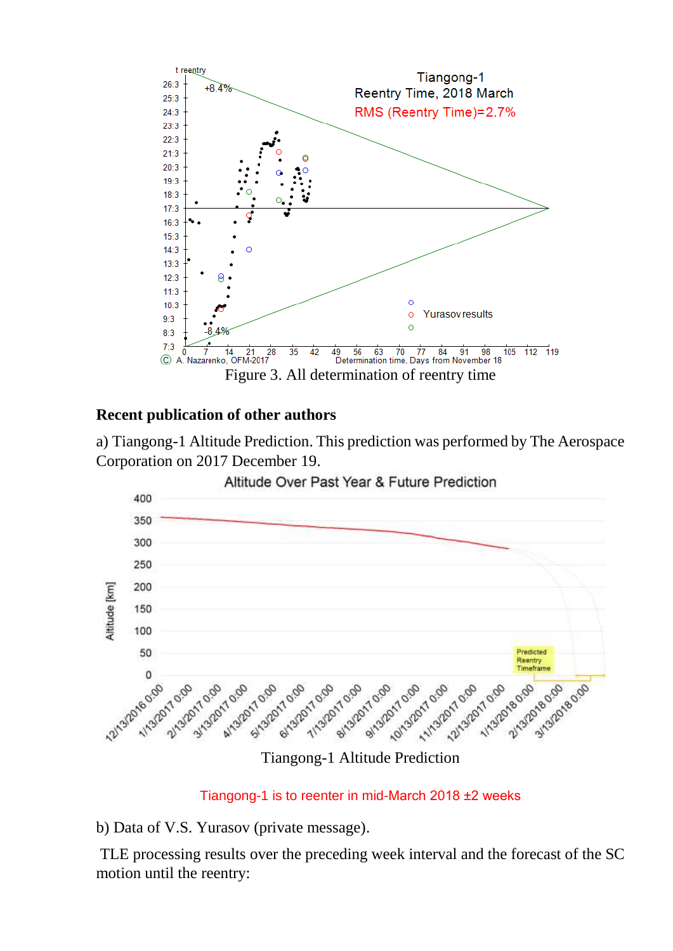

## **Recent publication of other authors**

a) Tiangong-1 Altitude Prediction. This prediction was performed by The Aerospace Corporation on 2017 December 19.



Tiangong-1 is to reenter in mid-March 2018 ±2 weeks

b) Data of V.S. Yurasov (private message).

TLE processing results over the preceding week interval and the forecast of the SC motion until the reentry: